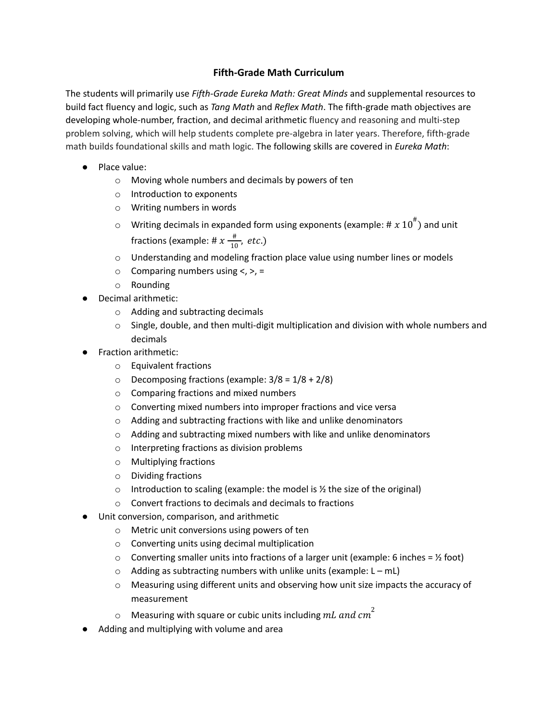## **Fifth-Grade Math Curriculum**

The students will primarily use *Fifth-Grade Eureka Math: Great Minds* and supplemental resources to build fact fluency and logic, such as *Tang Math* and *Reflex Math*. The fifth-grade math objectives are developing whole-number, fraction, and decimal arithmetic fluency and reasoning and multi-step problem solving, which will help students complete pre-algebra in later years. Therefore, fifth-grade math builds foundational skills and math logic. The following skills are covered in *Eureka Math*:

- Place value:
	- o Moving whole numbers and decimals by powers of ten
	- o Introduction to exponents
	- o Writing numbers in words
	- $\circ$  Writing decimals in expanded form using exponents (example: #  $x$   $10^{\text{\#}}$ ) and unit fractions (example: #  $x \frac{4}{10}$  $\frac{\pi}{10}$ , etc.)
	- o Understanding and modeling fraction place value using number lines or models
	- $\circ$  Comparing numbers using <, >, =
	- o Rounding
- Decimal arithmetic:
	- o Adding and subtracting decimals
	- $\circ$  Single, double, and then multi-digit multiplication and division with whole numbers and decimals
- **Fraction arithmetic:** 
	- o Equivalent fractions
	- $\circ$  Decomposing fractions (example:  $3/8 = 1/8 + 2/8$ )
	- o Comparing fractions and mixed numbers
	- o Converting mixed numbers into improper fractions and vice versa
	- o Adding and subtracting fractions with like and unlike denominators
	- o Adding and subtracting mixed numbers with like and unlike denominators
	- o Interpreting fractions as division problems
	- o Multiplying fractions
	- o Dividing fractions
	- $\circ$  Introduction to scaling (example: the model is  $\frac{1}{2}$  the size of the original)
	- o Convert fractions to decimals and decimals to fractions
- Unit conversion, comparison, and arithmetic
	- o Metric unit conversions using powers of ten
	- o Converting units using decimal multiplication
	- $\circ$  Converting smaller units into fractions of a larger unit (example: 6 inches =  $\frac{1}{2}$  foot)
	- $\circ$  Adding as subtracting numbers with unlike units (example: L mL)
	- $\circ$  Measuring using different units and observing how unit size impacts the accuracy of measurement
	- $\circ$  Measuring with square or cubic units including  $mL$  and  $cm^2$
- Adding and multiplying with volume and area